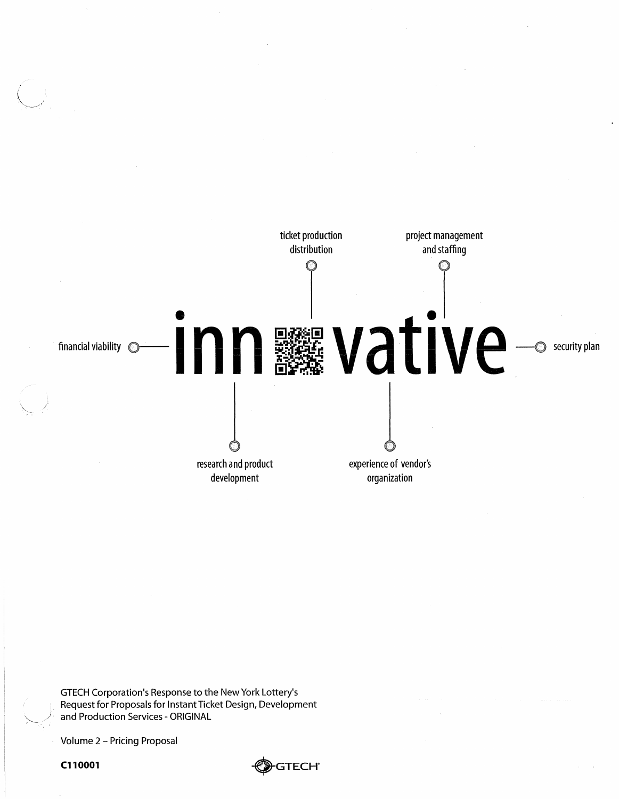

GTECH Corporation's Response to the New York Lottery's Request for Proposals for Instant Ticket Design, Development and Production Services - ORIGINAL

Volume 2 - Pricing Proposal

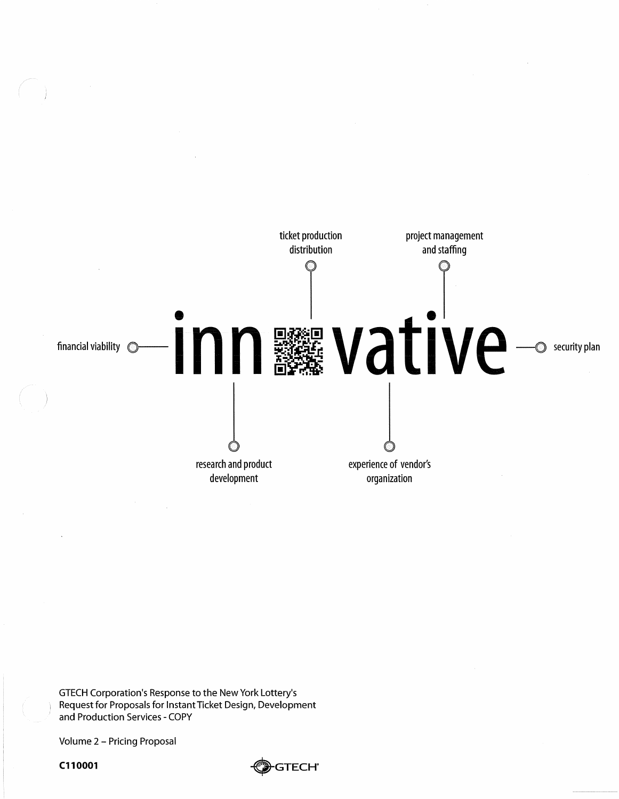

GTECH Corporation's Response to the New York Lottery's Request for Proposals for Instant Ticket Design, Development and Production Services - COpy

Volume 2 - Pricing Proposal

![](_page_1_Picture_4.jpeg)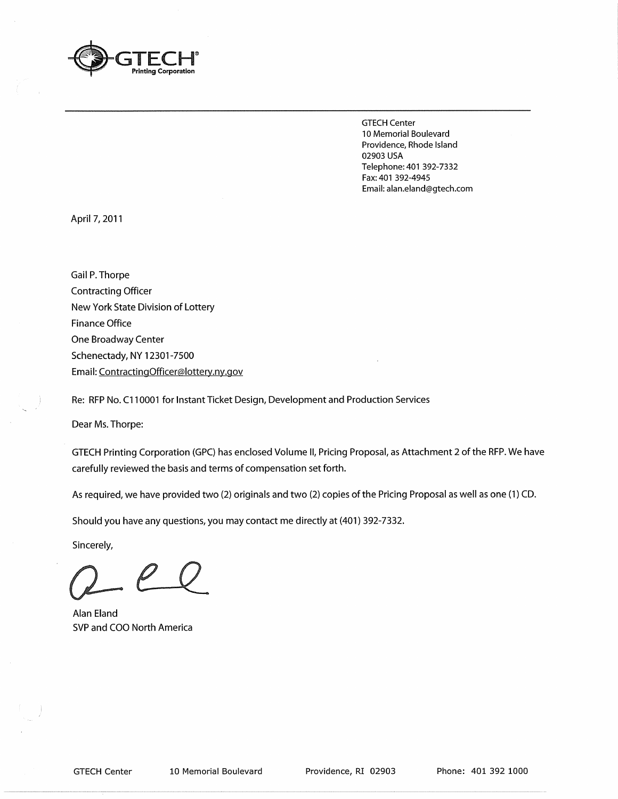![](_page_2_Picture_0.jpeg)

GTECH Center 10 Memorial Boulevard Providence, Rhode Island 02903 USA Telephone: 401 392-7332 Fax: 401 392-4945 Email: alan.eland@gtech.com

April 7, 2011

Gail P. Thorpe Contracting Officer New York State Division of Lottery Finance Office One Broadway Center Schenectady, NY 12301-7500 Email: ContractingOfficer@lottery.ny.gov

Re: RFP No. C110001 for Instant Ticket Design, Development and Production Services

Dear Ms. Thorpe:

GTECH Printing Corporation (GPC) has enclosed Volume II, Pricing Proposal, as Attachment 2 of the RFP. We have carefully reviewed the basis and terms of compensation set forth.

As required, we have provided two (2) originals and two (2) copies of the Pricing Proposal as well as one (1) CD.

Should you have any questions, you may contact me directly at (401) 392-7332.

Sincerely,

Alan Eland SVP and COO North America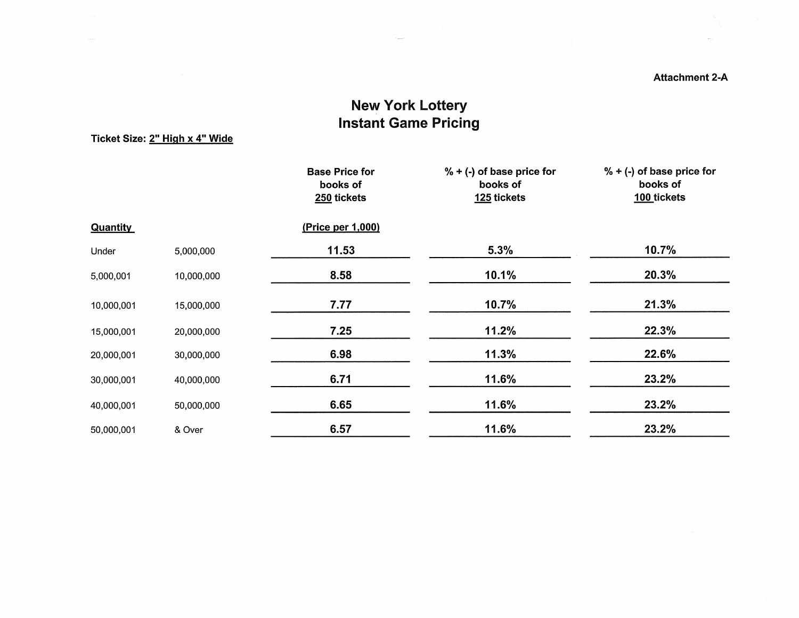#### Attachment 2-A

### New York Lottery Instant Game Pricing

Ticket Size: 2" High x 4" Wide

|                 |            | <b>Base Price for</b><br>books of<br>250 tickets | $% + (-)$ of base price for<br>books of<br>125 tickets | % $+$ (-) of base price for<br>books of<br>100 tickets |
|-----------------|------------|--------------------------------------------------|--------------------------------------------------------|--------------------------------------------------------|
| <b>Quantity</b> |            | (Price per 1,000)                                |                                                        |                                                        |
| Under           | 5,000,000  | 11.53                                            | 5.3%                                                   | 10.7%                                                  |
| 5,000,001       | 10,000,000 | 8.58                                             | 10.1%                                                  | 20.3%                                                  |
| 10,000,001      | 15,000,000 | 7.77                                             | 10.7%                                                  | 21.3%                                                  |
| 15,000,001      | 20,000,000 | 7.25                                             | 11.2%                                                  | 22.3%                                                  |
| 20,000,001      | 30,000,000 | 6.98                                             | 11.3%                                                  | 22.6%                                                  |
| 30,000,001      | 40,000,000 | 6.71                                             | 11.6%                                                  | 23.2%                                                  |
| 40,000,001      | 50,000,000 | 6.65                                             | 11.6%                                                  | 23.2%                                                  |
| 50,000,001      | & Over     | 6.57                                             | 11.6%                                                  | 23.2%                                                  |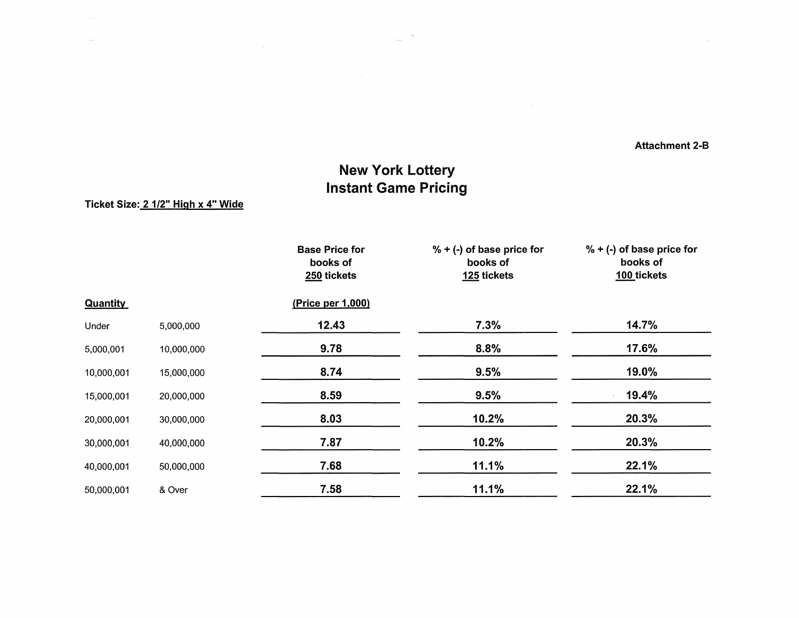Attachment 2-8

## New York Lottery Instant Game Pricing

 $\sim$   $\sim$ 

Ticket Size: 2 1/2" High x 4" Wide

|                 |            | <b>Base Price for</b><br>books of<br>250 tickets | $% + (-)$ of base price for<br>books of<br>125 tickets | $% + (-)$ of base price for<br>books of<br>100 tickets |
|-----------------|------------|--------------------------------------------------|--------------------------------------------------------|--------------------------------------------------------|
| <b>Quantity</b> |            | (Price per 1,000)                                |                                                        |                                                        |
| Under           | 5,000,000  | 12.43                                            | 7.3%                                                   | 14.7%                                                  |
| 5,000,001       | 10,000,000 | 9.78                                             | 8.8%                                                   | 17.6%                                                  |
| 10,000,001      | 15,000,000 | 8.74                                             | 9.5%                                                   | 19.0%                                                  |
| 15,000,001      | 20,000,000 | 8.59                                             | 9.5%                                                   | 19.4%                                                  |
| 20,000,001      | 30,000,000 | 8.03                                             | 10.2%                                                  | 20.3%                                                  |
| 30,000,001      | 40,000,000 | 7.87                                             | 10.2%                                                  | 20.3%                                                  |
| 40,000,001      | 50,000,000 | 7.68                                             | 11.1%                                                  | 22.1%                                                  |
| 50,000,001      | & Over     | 7.58                                             | 11.1%                                                  | 22.1%                                                  |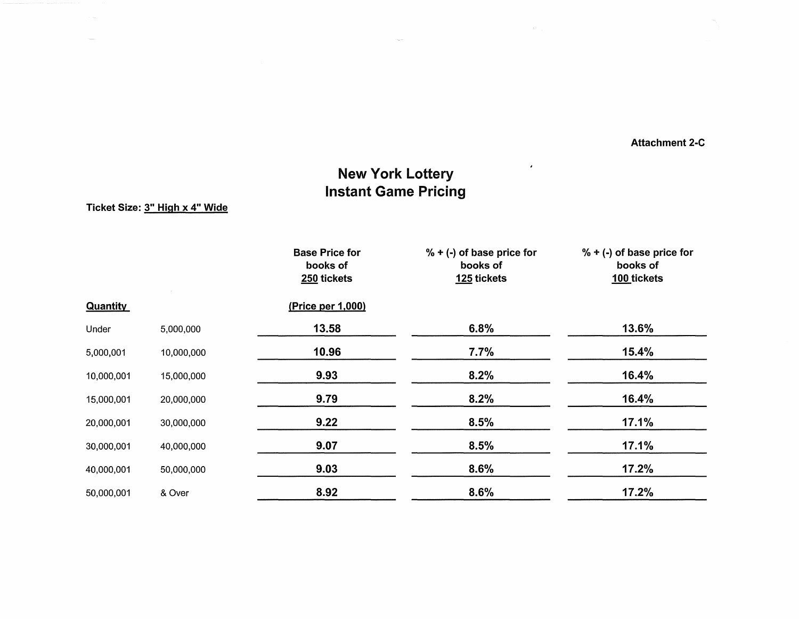Attachment 2-C

 $\sim$ 

 $\epsilon$ 

### New York lottery Instant Game Pricing

Ticket Size: 3" High x 4" Wide

|                 |            | <b>Base Price for</b><br>books of<br>250 tickets | $% + (-)$ of base price for<br>books of<br>125 tickets | $% + (-)$ of base price for<br>books of<br>100 tickets |
|-----------------|------------|--------------------------------------------------|--------------------------------------------------------|--------------------------------------------------------|
| <b>Quantity</b> |            | (Price per 1,000)                                |                                                        |                                                        |
| Under           | 5,000,000  | 13.58                                            | 6.8%                                                   | 13.6%                                                  |
| 5,000,001       | 10,000,000 | 10.96                                            | 7.7%                                                   | 15.4%                                                  |
| 10,000,001      | 15,000,000 | 9.93                                             | 8.2%                                                   | 16.4%                                                  |
| 15,000,001      | 20,000,000 | 9.79                                             | 8.2%                                                   | 16.4%                                                  |
| 20,000,001      | 30,000,000 | 9.22                                             | 8.5%                                                   | 17.1%                                                  |
| 30,000,001      | 40,000,000 | 9.07                                             | 8.5%                                                   | 17.1%                                                  |
| 40,000,001      | 50,000,000 | 9.03                                             | 8.6%                                                   | 17.2%                                                  |
| 50,000,001      | & Over     | 8.92                                             | 8.6%                                                   | 17.2%                                                  |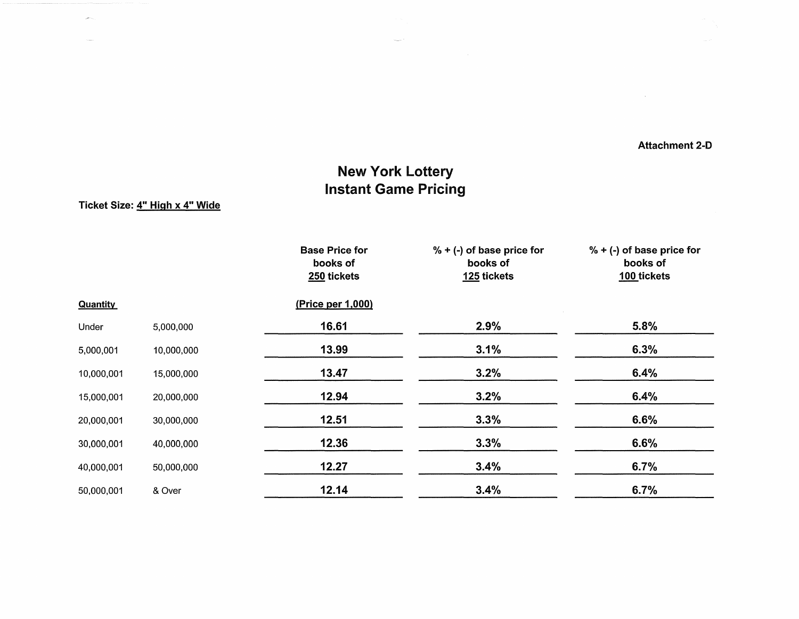Attachment 2-D

 $\sim 10^{-1}$ 

### New York Lottery Instant Game Pricing

Ticket Size: 4" High x 4" Wide

J.

|                 |            | <b>Base Price for</b><br>books of<br>250 tickets | $% + (-)$ of base price for<br>books of<br>125 tickets | $% + (-)$ of base price for<br>books of<br>100 tickets |
|-----------------|------------|--------------------------------------------------|--------------------------------------------------------|--------------------------------------------------------|
| <b>Quantity</b> |            | (Price per 1,000)                                |                                                        |                                                        |
| Under           | 5,000,000  | 16.61                                            | 2.9%                                                   | 5.8%                                                   |
| 5,000,001       | 10,000,000 | 13.99                                            | 3.1%                                                   | 6.3%                                                   |
| 10,000,001      | 15,000,000 | 13.47                                            | 3.2%                                                   | 6.4%                                                   |
| 15,000,001      | 20,000,000 | 12.94                                            | 3.2%                                                   | 6.4%                                                   |
| 20,000,001      | 30,000,000 | 12.51                                            | 3.3%                                                   | 6.6%                                                   |
| 30,000,001      | 40,000,000 | 12.36                                            | 3.3%                                                   | 6.6%                                                   |
| 40,000,001      | 50,000,000 | 12.27                                            | 3.4%                                                   | 6.7%                                                   |
| 50,000,001      | & Over     | 12.14                                            | 3.4%                                                   | 6.7%                                                   |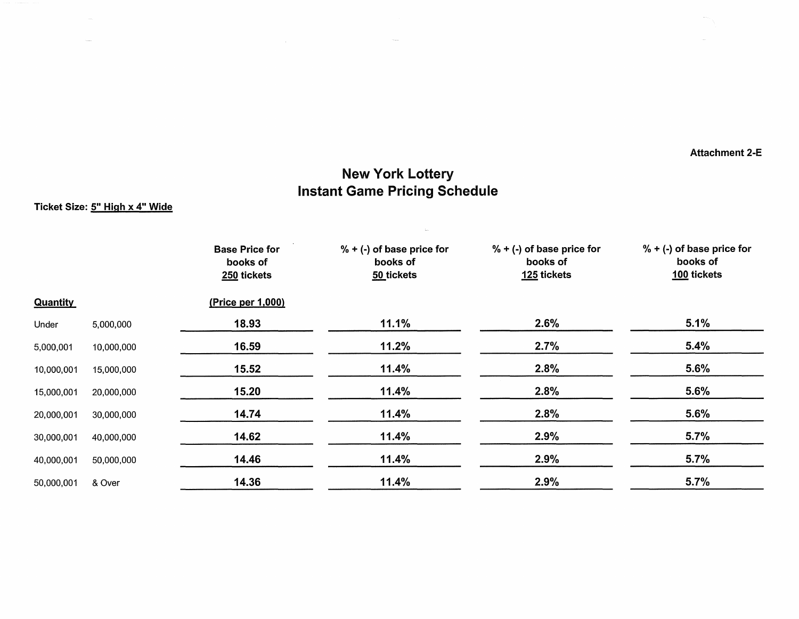Attachment 2-E

 $\sim$ 

### New York Lottery Instant Game Pricing Schedule

 $\mathcal{L}_{\text{max}}$ 

 $\tau_{\rm 0.0000}$ 

Ticket Size: 5" High x 4" Wide

|                 |            | <b>Base Price for</b><br>books of<br>250 tickets | $% + (-)$ of base price for<br>books of<br>50 tickets | $% + (-)$ of base price for<br>books of<br>125 tickets | $% + (-)$ of base price for<br>books of<br>100 tickets |
|-----------------|------------|--------------------------------------------------|-------------------------------------------------------|--------------------------------------------------------|--------------------------------------------------------|
| <b>Quantity</b> |            | (Price per 1,000)                                |                                                       |                                                        |                                                        |
| Under           | 5,000,000  | 18.93                                            | 11.1%                                                 | 2.6%                                                   | 5.1%                                                   |
| 5,000,001       | 10,000,000 | 16.59                                            | 11.2%                                                 | 2.7%                                                   | 5.4%                                                   |
| 10,000,001      | 15,000,000 | 15.52                                            | 11.4%                                                 | 2.8%                                                   | 5.6%                                                   |
| 15,000,001      | 20,000,000 | 15.20                                            | 11.4%                                                 | 2.8%                                                   | 5.6%                                                   |
| 20,000,001      | 30,000,000 | 14.74                                            | 11.4%                                                 | 2.8%                                                   | 5.6%                                                   |
| 30,000,001      | 40,000,000 | 14.62                                            | 11.4%                                                 | 2.9%                                                   | 5.7%                                                   |
| 40,000,001      | 50,000,000 | 14.46                                            | 11.4%                                                 | 2.9%                                                   | 5.7%                                                   |
| 50,000,001      | & Over     | 14.36                                            | 11.4%                                                 | 2.9%                                                   | 5.7%                                                   |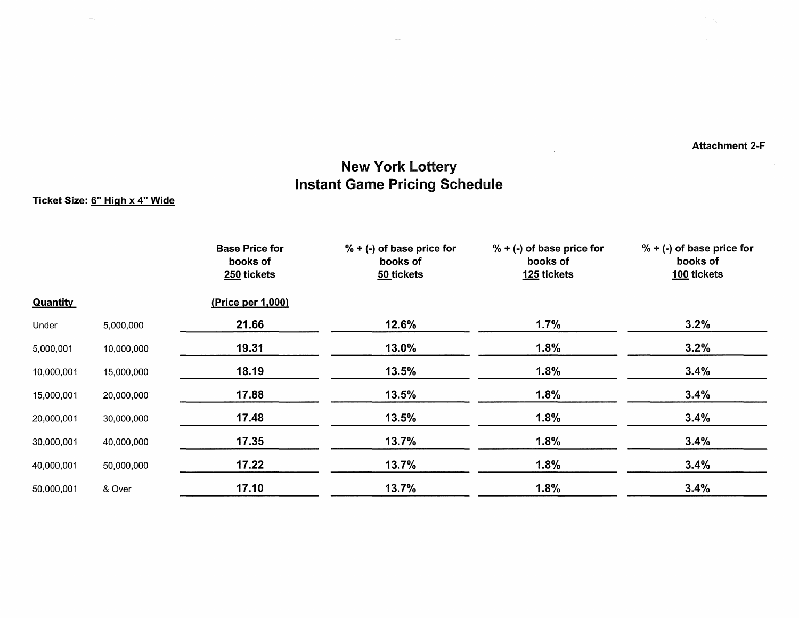Attachment 2-F

## New York Lottery Instant Game Pricing Schedule

 $\sim 10^7$ 

### Ticket Size: 6" High x 4" Wide

|                 |            | <b>Base Price for</b><br>books of<br>250 tickets | $% + (-)$ of base price for<br>books of<br>50 tickets | $% + (-)$ of base price for<br>books of<br>125 tickets | $% + (-)$ of base price for<br>books of<br>100 tickets |
|-----------------|------------|--------------------------------------------------|-------------------------------------------------------|--------------------------------------------------------|--------------------------------------------------------|
| <b>Quantity</b> |            | (Price per 1,000)                                |                                                       |                                                        |                                                        |
| Under           | 5,000,000  | 21.66                                            | 12.6%                                                 | 1.7%                                                   | 3.2%                                                   |
| 5,000,001       | 10,000,000 | 19.31                                            | 13.0%                                                 | 1.8%                                                   | 3.2%                                                   |
| 10,000,001      | 15,000,000 | 18.19                                            | 13.5%                                                 | 1.8%                                                   | 3.4%                                                   |
| 15,000,001      | 20,000,000 | 17.88                                            | 13.5%                                                 | 1.8%                                                   | 3.4%                                                   |
| 20,000,001      | 30,000,000 | 17.48                                            | 13.5%                                                 | 1.8%                                                   | 3.4%                                                   |
| 30,000,001      | 40,000,000 | 17.35                                            | 13.7%                                                 | 1.8%                                                   | 3.4%                                                   |
| 40,000,001      | 50,000,000 | 17.22                                            | 13.7%                                                 | 1.8%                                                   | 3.4%                                                   |
| 50,000,001      | & Over     | 17.10                                            | 13.7%                                                 | 1.8%                                                   | 3.4%                                                   |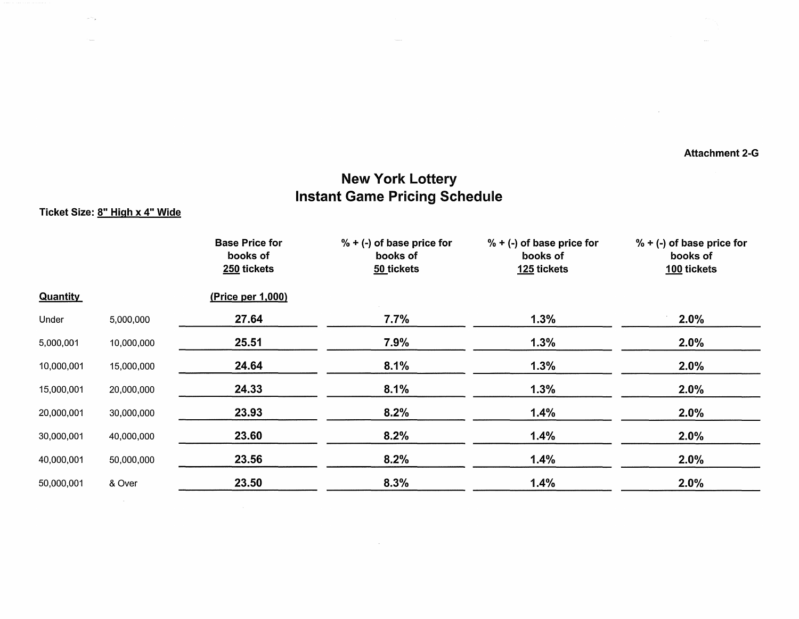Attachment 2-G

 $\sim 10^{11}$ 

### New York Lottery Instant Game Pricing Schedule

Ticket Size: 8" High x 4" Wide

 $\sim$   $\sim$   $_{\odot}$ 

|                 |            | <b>Base Price for</b><br>books of<br>250 tickets | $% + (-)$ of base price for<br>books of<br>50 tickets | $% + (-)$ of base price for<br>books of<br>125 tickets | $% + (-)$ of base price for<br>books of<br>100 tickets |
|-----------------|------------|--------------------------------------------------|-------------------------------------------------------|--------------------------------------------------------|--------------------------------------------------------|
| <b>Quantity</b> |            | (Price per 1,000)                                |                                                       |                                                        |                                                        |
| Under           | 5,000,000  | 27.64                                            | 7.7%                                                  | 1.3%                                                   | 2.0%                                                   |
| 5,000,001       | 10,000,000 | 25.51                                            | 7.9%                                                  | 1.3%                                                   | 2.0%                                                   |
| 10,000,001      | 15,000,000 | 24.64                                            | 8.1%                                                  | 1.3%                                                   | 2.0%                                                   |
| 15,000,001      | 20,000,000 | 24.33                                            | 8.1%                                                  | 1.3%                                                   | 2.0%                                                   |
| 20,000,001      | 30,000,000 | 23.93                                            | 8.2%                                                  | 1.4%                                                   | 2.0%                                                   |
| 30,000,001      | 40,000,000 | 23.60                                            | 8.2%                                                  | 1.4%                                                   | 2.0%                                                   |
| 40,000,001      | 50,000,000 | 23.56                                            | 8.2%                                                  | 1.4%                                                   | 2.0%                                                   |
| 50,000,001      | & Over     | 23.50                                            | 8.3%                                                  | 1.4%                                                   | 2.0%                                                   |

 $\sim 10^{11}$  km s  $^{-1}$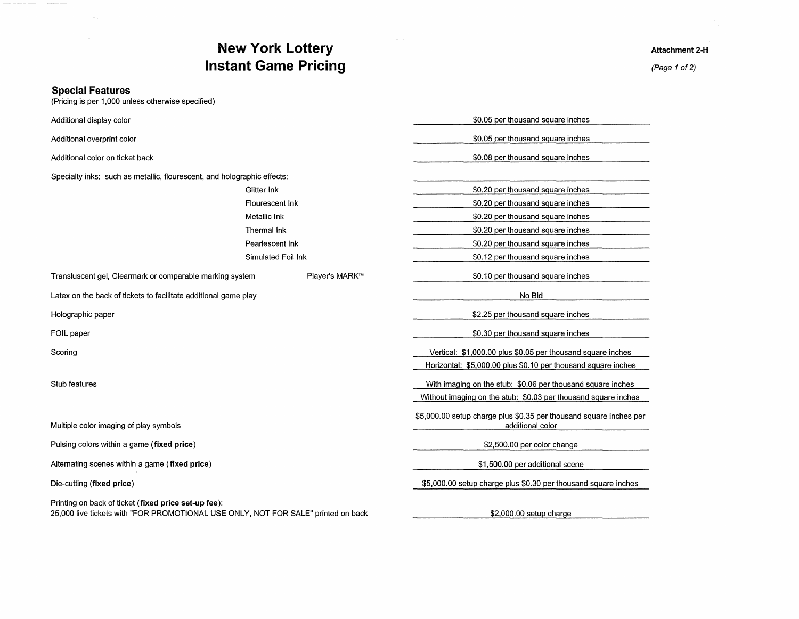### **New York Lottery Instant Game Pricing**

#### **Special Features**

| (Pricing is per 1,000 unless otherwise specified)                                                                                         |                    |                                                                                        |
|-------------------------------------------------------------------------------------------------------------------------------------------|--------------------|----------------------------------------------------------------------------------------|
| Additional display color                                                                                                                  |                    | \$0.05 per thousand square inches                                                      |
| Additional overprint color                                                                                                                |                    | \$0.05 per thousand square inches                                                      |
| Additional color on ticket back                                                                                                           |                    | \$0.08 per thousand square inches                                                      |
| Specialty inks: such as metallic, flourescent, and holographic effects:                                                                   |                    |                                                                                        |
|                                                                                                                                           | Glitter Ink        | \$0.20 per thousand square inches                                                      |
|                                                                                                                                           | Flourescent Ink    | \$0.20 per thousand square inches                                                      |
|                                                                                                                                           | Metallic Ink       | \$0.20 per thousand square inches                                                      |
|                                                                                                                                           | Thermal Ink        | \$0.20 per thousand square inches                                                      |
|                                                                                                                                           | Pearlescent Ink    | \$0.20 per thousand square inches                                                      |
|                                                                                                                                           | Simulated Foil Ink | \$0.12 per thousand square inches                                                      |
| Transluscent gel, Clearmark or comparable marking system                                                                                  | Player's MARK™     | \$0.10 per thousand square inches                                                      |
| Latex on the back of tickets to facilitate additional game play                                                                           |                    | No Bid                                                                                 |
| Holographic paper                                                                                                                         |                    | \$2.25 per thousand square inches                                                      |
| FOIL paper                                                                                                                                |                    | \$0.30 per thousand square inches                                                      |
| Scoring                                                                                                                                   |                    | Vertical: \$1,000.00 plus \$0.05 per thousand square inches                            |
|                                                                                                                                           |                    | Horizontal: \$5,000.00 plus \$0.10 per thousand square inches                          |
| Stub features                                                                                                                             |                    | With imaging on the stub: \$0.06 per thousand square inches                            |
|                                                                                                                                           |                    | Without imaging on the stub: \$0.03 per thousand square inches                         |
| Multiple color imaging of play symbols                                                                                                    |                    | \$5,000.00 setup charge plus \$0.35 per thousand square inches per<br>additional color |
| Pulsing colors within a game (fixed price)                                                                                                |                    | \$2,500.00 per color change                                                            |
| Alternating scenes within a game (fixed price)                                                                                            |                    | \$1,500.00 per additional scene                                                        |
| Die-cutting (fixed price)                                                                                                                 |                    | \$5,000.00 setup charge plus \$0.30 per thousand square inches                         |
| Printing on back of ticket (fixed price set-up fee):<br>25,000 live tickets with "FOR PROMOTIONAL USE ONLY, NOT FOR SALE" printed on back |                    | \$2,000.00 setup charge                                                                |

**Attachment 2-H**

(Page  $1$  of  $2$ )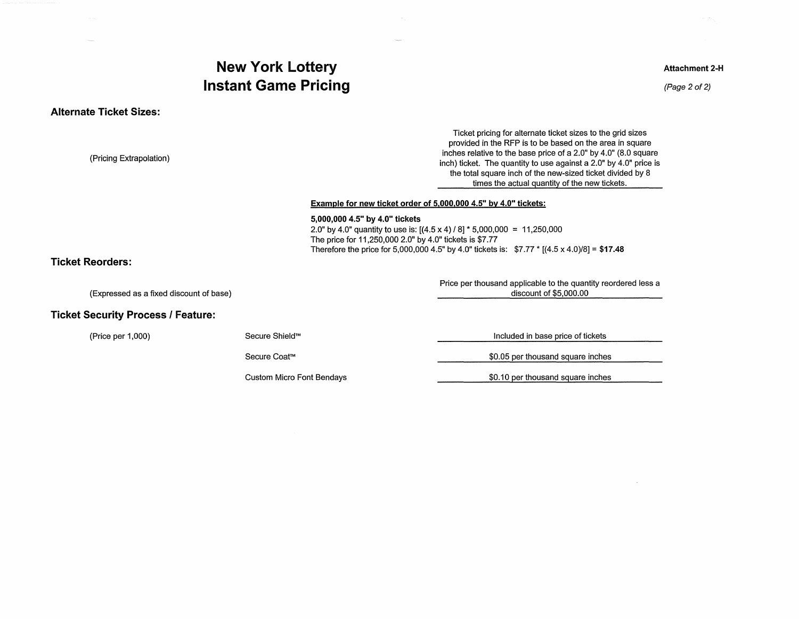## New York Lottery Instant Game Pricing

Alternate Ticket Sizes:

Attachment 2-H

(Page  $2$  of  $2)$ 

 $\sim$ 

| (Pricing Extrapolation)                   |                           |                                                                                           | Ticket pricing for alternate ticket sizes to the grid sizes<br>provided in the RFP is to be based on the area in square<br>inches relative to the base price of a 2.0" by 4.0" (8.0 square<br>inch) ticket. The quantity to use against a 2.0" by 4.0" price is<br>the total square inch of the new-sized ticket divided by 8<br>times the actual quantity of the new tickets. |
|-------------------------------------------|---------------------------|-------------------------------------------------------------------------------------------|--------------------------------------------------------------------------------------------------------------------------------------------------------------------------------------------------------------------------------------------------------------------------------------------------------------------------------------------------------------------------------|
|                                           |                           | Example for new ticket order of 5,000,000 4.5" by 4.0" tickets:                           |                                                                                                                                                                                                                                                                                                                                                                                |
| Ticket Reorders:                          |                           | 5,000,000 4.5" by 4.0" tickets<br>The price for 11,250,000 2.0" by 4.0" tickets is \$7.77 | 2.0" by 4.0" quantity to use is: $[(4.5 \times 4)/8]$ * 5,000,000 = 11,250,000<br>Therefore the price for 5,000,000 4.5" by 4.0" tickets is: $$7.77 * [(4.5 \times 4.0)/8] = $17.48$                                                                                                                                                                                           |
| (Expressed as a fixed discount of base)   |                           |                                                                                           | Price per thousand applicable to the quantity reordered less a<br>discount of \$5,000.00                                                                                                                                                                                                                                                                                       |
| <b>Ticket Security Process / Feature:</b> |                           |                                                                                           |                                                                                                                                                                                                                                                                                                                                                                                |
| (Price per 1,000)                         | Secure Shield™            |                                                                                           | Included in base price of tickets                                                                                                                                                                                                                                                                                                                                              |
|                                           | Secure Coat <sup>™</sup>  |                                                                                           | \$0.05 per thousand square inches                                                                                                                                                                                                                                                                                                                                              |
|                                           | Custom Micro Font Bendays |                                                                                           | \$0.10 per thousand square inches                                                                                                                                                                                                                                                                                                                                              |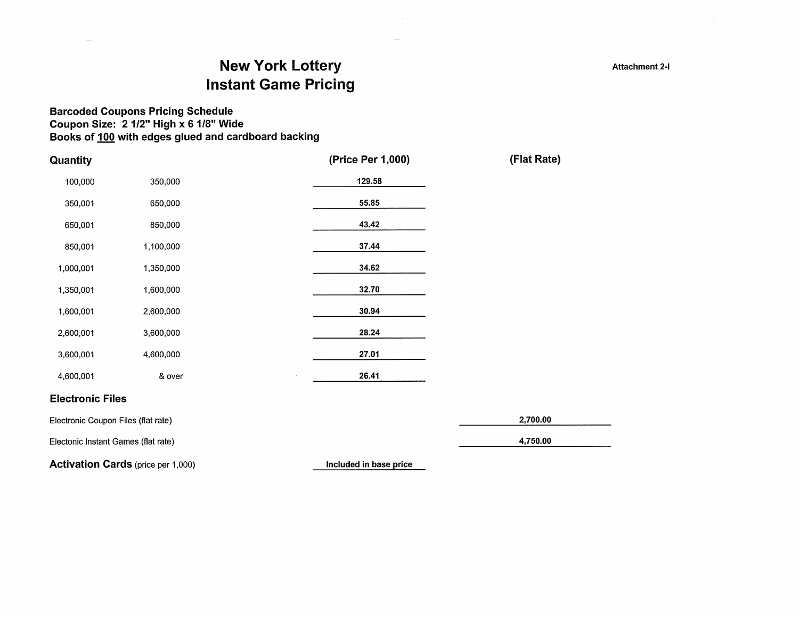#### Attachment **2-1**

## **New York Lottery Instant Game Pricing**

#### **Barcoded Coupons Pricing Schedule Coupon Size: 2 1/2" High x 6 1/8" Wide Books of 100 with edges glued and cardboard backing**

| Quantity                            |                                           | (Price Per 1,000)      | (Flat Rate) |
|-------------------------------------|-------------------------------------------|------------------------|-------------|
| 100,000                             | 350,000                                   | 129.58                 |             |
| 350,001                             | 650,000                                   | 55.85                  |             |
| 650,001                             | 850,000                                   | 43.42                  |             |
| 850,001                             | 1,100,000                                 | 37.44                  |             |
| 1,000,001                           | 1,350,000                                 | 34.62                  |             |
| 1,350,001                           | 1,600,000                                 | 32.70                  |             |
| 1,600,001                           | 2,600,000                                 | 30.94                  |             |
| 2,600,001                           | 3,600,000                                 | 28.24                  |             |
| 3,600,001                           | 4,600,000                                 | 27.01                  |             |
| 4,600,001                           | & over                                    | 26.41                  |             |
| <b>Electronic Files</b>             |                                           |                        |             |
| Electronic Coupon Files (flat rate) |                                           |                        | 2,700.00    |
| Electonic Instant Games (flat rate) |                                           |                        | 4,750.00    |
|                                     | <b>Activation Cards</b> (price per 1,000) | Included in base price |             |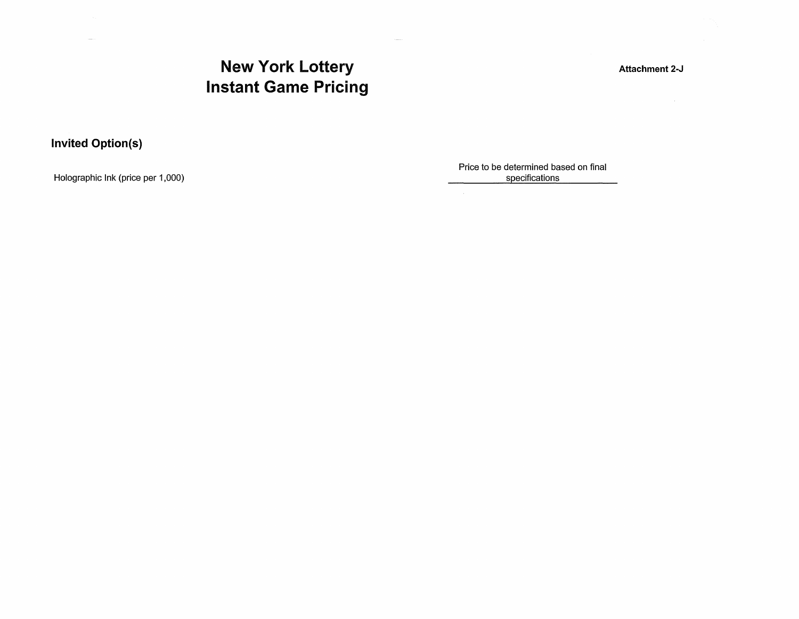## **New York Lottery Instant Game Pricing**

**Invited Option(s)**

Holographic Ink (price per 1,000)

Price to be determined based on final specifications

**Attachment 2-J**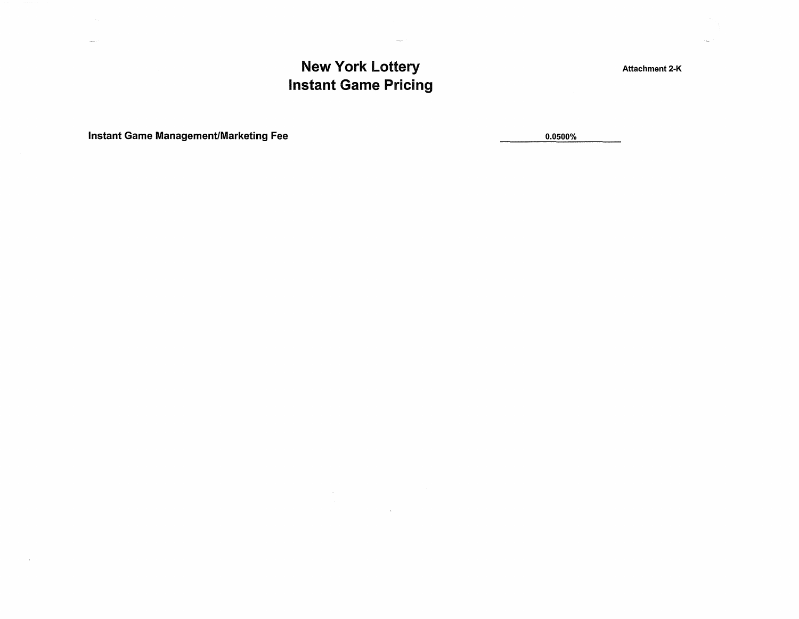## New York Lottery Instant Game Pricing

Attachment 2-K

Instant Game Management/Marketing Fee 0.0500%

 $\sim$   $\sim$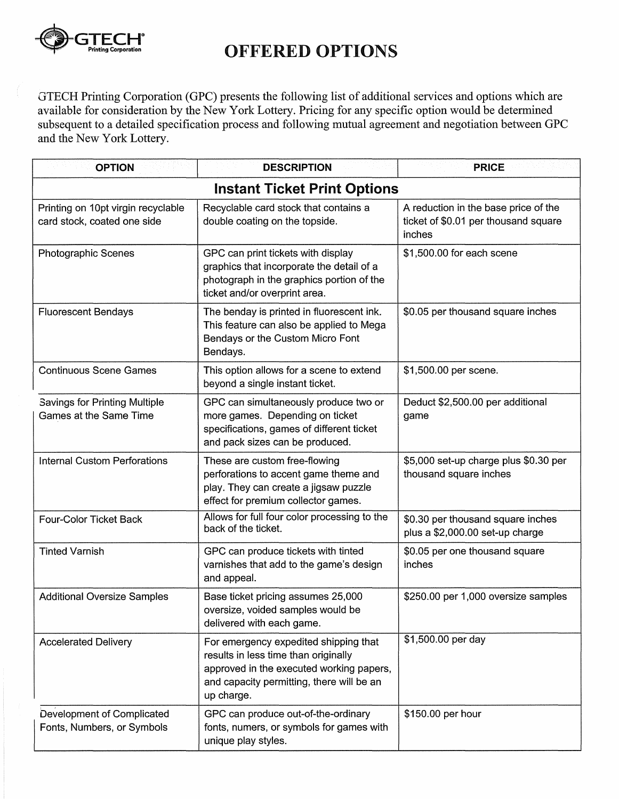![](_page_15_Picture_0.jpeg)

GTECH Printing Corporation (GPC) presents the following list of additional services and options which are available for consideration by the New York Lottery. Pricing for any specific option would be determined subsequent to a detailed specification process and following mutual agreement and negotiation between GPC and the New York Lottery.

| <b>OPTION</b>                                                     | <b>DESCRIPTION</b>                                                                                                                                                                   | <b>PRICE</b>                                                                           |
|-------------------------------------------------------------------|--------------------------------------------------------------------------------------------------------------------------------------------------------------------------------------|----------------------------------------------------------------------------------------|
|                                                                   | <b>Instant Ticket Print Options</b>                                                                                                                                                  |                                                                                        |
| Printing on 10pt virgin recyclable<br>card stock, coated one side | Recyclable card stock that contains a<br>double coating on the topside.                                                                                                              | A reduction in the base price of the<br>ticket of \$0.01 per thousand square<br>inches |
| Photographic Scenes                                               | GPC can print tickets with display<br>graphics that incorporate the detail of a<br>photograph in the graphics portion of the<br>ticket and/or overprint area.                        | \$1,500.00 for each scene                                                              |
| <b>Fluorescent Bendays</b>                                        | The benday is printed in fluorescent ink.<br>This feature can also be applied to Mega<br>Bendays or the Custom Micro Font<br>Bendays.                                                | \$0.05 per thousand square inches                                                      |
| <b>Continuous Scene Games</b>                                     | This option allows for a scene to extend<br>beyond a single instant ticket.                                                                                                          | \$1,500.00 per scene.                                                                  |
| <b>Savings for Printing Multiple</b><br>Games at the Same Time    | GPC can simultaneously produce two or<br>more games. Depending on ticket<br>specifications, games of different ticket<br>and pack sizes can be produced.                             | Deduct \$2,500.00 per additional<br>game                                               |
| <b>Internal Custom Perforations</b>                               | These are custom free-flowing<br>perforations to accent game theme and<br>play. They can create a jigsaw puzzle<br>effect for premium collector games.                               | \$5,000 set-up charge plus \$0.30 per<br>thousand square inches                        |
| Four-Color Ticket Back                                            | Allows for full four color processing to the<br>back of the ticket.                                                                                                                  | \$0.30 per thousand square inches<br>plus a \$2,000.00 set-up charge                   |
| <b>Tinted Varnish</b>                                             | GPC can produce tickets with tinted<br>varnishes that add to the game's design<br>and appeal.                                                                                        | \$0.05 per one thousand square<br>inches                                               |
| <b>Additional Oversize Samples</b>                                | Base ticket pricing assumes 25,000<br>oversize, voided samples would be<br>delivered with each game.                                                                                 | \$250.00 per 1,000 oversize samples                                                    |
| <b>Accelerated Delivery</b>                                       | For emergency expedited shipping that<br>results in less time than originally<br>approved in the executed working papers,<br>and capacity permitting, there will be an<br>up charge. | \$1,500.00 per day                                                                     |
| Development of Complicated<br>Fonts, Numbers, or Symbols          | GPC can produce out-of-the-ordinary<br>fonts, numers, or symbols for games with<br>unique play styles.                                                                               | \$150.00 per hour                                                                      |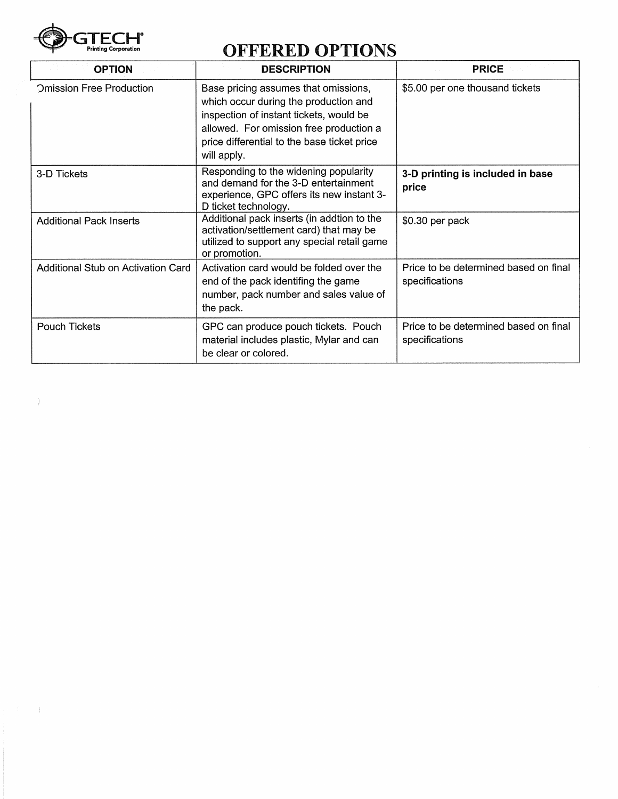![](_page_16_Picture_0.jpeg)

 $\cdot$ 

 $\pm$ 

| <b>OPTION</b>                      | <b>DESCRIPTION</b>                                                                                                                                                                                                                | <b>PRICE</b>                                            |
|------------------------------------|-----------------------------------------------------------------------------------------------------------------------------------------------------------------------------------------------------------------------------------|---------------------------------------------------------|
| <b>Omission Free Production</b>    | Base pricing assumes that omissions,<br>which occur during the production and<br>inspection of instant tickets, would be<br>allowed. For omission free production a<br>price differential to the base ticket price<br>will apply. | \$5.00 per one thousand tickets                         |
| 3-D Tickets                        | Responding to the widening popularity<br>and demand for the 3-D entertainment<br>experience, GPC offers its new instant 3-<br>D ticket technology.                                                                                | 3-D printing is included in base<br>price               |
| <b>Additional Pack Inserts</b>     | Additional pack inserts (in addtion to the<br>activation/settlement card) that may be<br>utilized to support any special retail game<br>or promotion.                                                                             | \$0.30 per pack                                         |
| Additional Stub on Activation Card | Activation card would be folded over the<br>end of the pack identifing the game<br>number, pack number and sales value of<br>the pack.                                                                                            | Price to be determined based on final<br>specifications |
| <b>Pouch Tickets</b>               | GPC can produce pouch tickets. Pouch<br>material includes plastic, Mylar and can<br>be clear or colored.                                                                                                                          | Price to be determined based on final<br>specifications |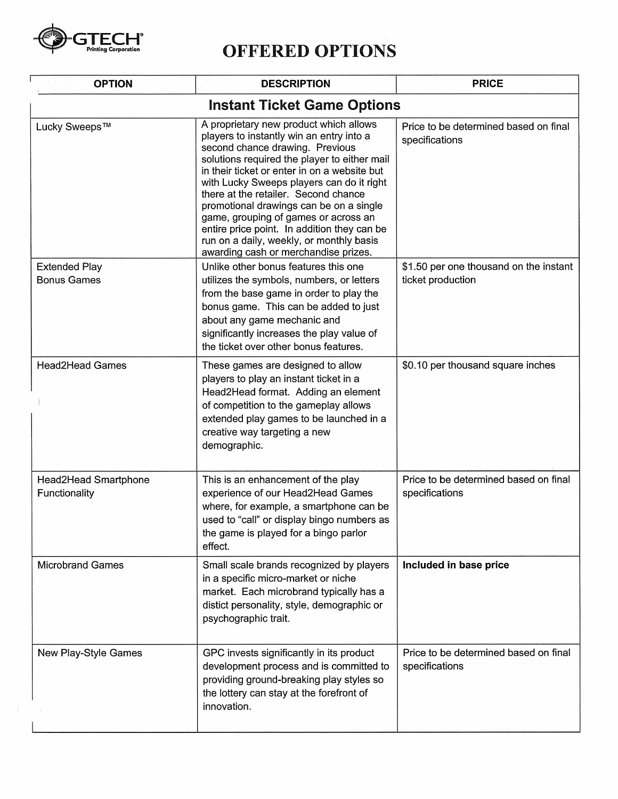![](_page_17_Picture_0.jpeg)

| <b>OPTION</b>                              | <b>DESCRIPTION</b>                                                                                                                                                                                                                                                                                                                                                                                                                                                                                                               | <b>PRICE</b>                                                |  |
|--------------------------------------------|----------------------------------------------------------------------------------------------------------------------------------------------------------------------------------------------------------------------------------------------------------------------------------------------------------------------------------------------------------------------------------------------------------------------------------------------------------------------------------------------------------------------------------|-------------------------------------------------------------|--|
| <b>Instant Ticket Game Options</b>         |                                                                                                                                                                                                                                                                                                                                                                                                                                                                                                                                  |                                                             |  |
| Lucky Sweeps™                              | A proprietary new product which allows<br>players to instantly win an entry into a<br>second chance drawing. Previous<br>solutions required the player to either mail<br>in their ticket or enter in on a website but<br>with Lucky Sweeps players can do it right<br>there at the retailer. Second chance<br>promotional drawings can be on a single<br>game, grouping of games or across an<br>entire price point. In addition they can be<br>run on a daily, weekly, or monthly basis<br>awarding cash or merchandise prizes. | Price to be determined based on final<br>specifications     |  |
| <b>Extended Play</b><br><b>Bonus Games</b> | Unlike other bonus features this one<br>utilizes the symbols, numbers, or letters<br>from the base game in order to play the<br>bonus game. This can be added to just<br>about any game mechanic and<br>significantly increases the play value of<br>the ticket over other bonus features.                                                                                                                                                                                                                                       | \$1.50 per one thousand on the instant<br>ticket production |  |
| <b>Head2Head Games</b>                     | These games are designed to allow<br>players to play an instant ticket in a<br>Head2Head format. Adding an element<br>of competition to the gameplay allows<br>extended play games to be launched in a<br>creative way targeting a new<br>demographic.                                                                                                                                                                                                                                                                           | \$0.10 per thousand square inches                           |  |
| Head2Head Smartphone<br>Functionality      | This is an enhancement of the play<br>experience of our Head2Head Games<br>where, for example, a smartphone can be<br>used to "call" or display bingo numbers as<br>the game is played for a bingo parlor<br>effect.                                                                                                                                                                                                                                                                                                             | Price to be determined based on final<br>specifications     |  |
| <b>Microbrand Games</b>                    | Small scale brands recognized by players<br>in a specific micro-market or niche<br>market. Each microbrand typically has a<br>distict personality, style, demographic or<br>psychographic trait.                                                                                                                                                                                                                                                                                                                                 | Included in base price                                      |  |
| New Play-Style Games                       | GPC invests significantly in its product<br>development process and is committed to<br>providing ground-breaking play styles so<br>the lottery can stay at the forefront of<br>innovation.                                                                                                                                                                                                                                                                                                                                       | Price to be determined based on final<br>specifications     |  |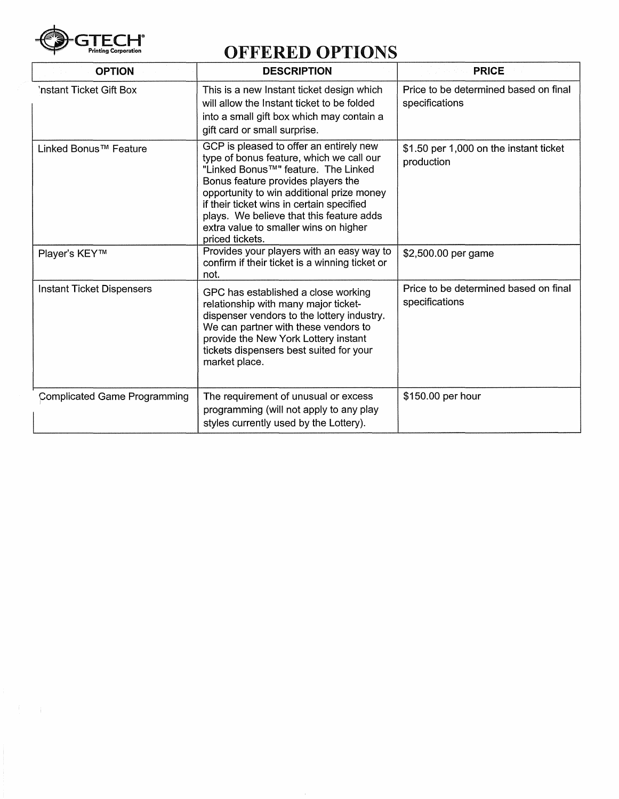![](_page_18_Picture_0.jpeg)

| <b>OPTION</b>                       | <b>DESCRIPTION</b>                                                                                                                                                                                                                                                                                                                                                 | <b>PRICE</b>                                            |
|-------------------------------------|--------------------------------------------------------------------------------------------------------------------------------------------------------------------------------------------------------------------------------------------------------------------------------------------------------------------------------------------------------------------|---------------------------------------------------------|
| 'nstant Ticket Gift Box             | This is a new Instant ticket design which<br>will allow the Instant ticket to be folded<br>into a small gift box which may contain a<br>gift card or small surprise.                                                                                                                                                                                               | Price to be determined based on final<br>specifications |
| Linked Bonus™ Feature               | GCP is pleased to offer an entirely new<br>type of bonus feature, which we call our<br>"Linked Bonus™" feature. The Linked<br>Bonus feature provides players the<br>opportunity to win additional prize money<br>if their ticket wins in certain specified<br>plays. We believe that this feature adds<br>extra value to smaller wins on higher<br>priced tickets. | \$1.50 per 1,000 on the instant ticket<br>production    |
| Player's KEY™                       | Provides your players with an easy way to<br>confirm if their ticket is a winning ticket or<br>not.                                                                                                                                                                                                                                                                | \$2,500.00 per game                                     |
| <b>Instant Ticket Dispensers</b>    | GPC has established a close working<br>relationship with many major ticket-<br>dispenser vendors to the lottery industry.<br>We can partner with these vendors to<br>provide the New York Lottery instant<br>tickets dispensers best suited for your<br>market place.                                                                                              | Price to be determined based on final<br>specifications |
| <b>Complicated Game Programming</b> | The requirement of unusual or excess<br>programming (will not apply to any play<br>styles currently used by the Lottery).                                                                                                                                                                                                                                          | \$150.00 per hour                                       |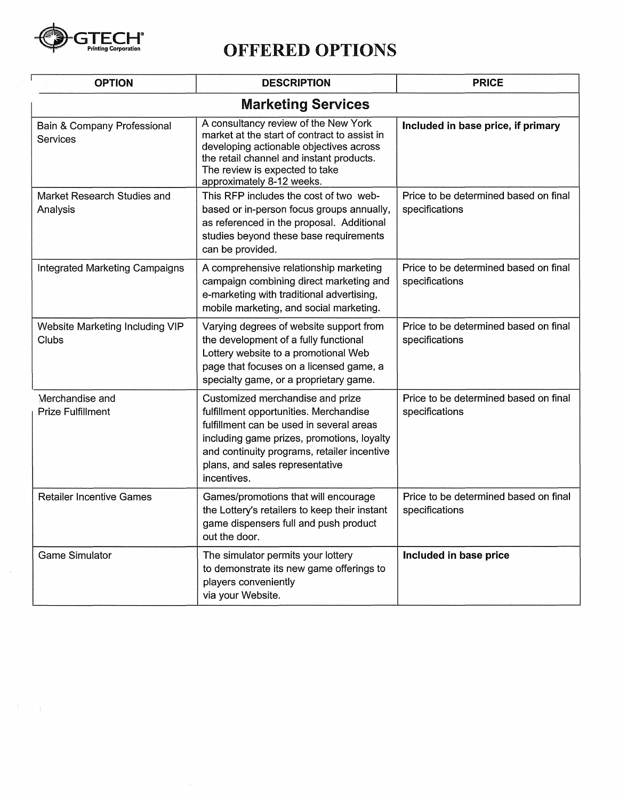![](_page_19_Picture_0.jpeg)

| <b>OPTION</b>                               | <b>DESCRIPTION</b>                                                                                                                                                                                                                                                    | <b>PRICE</b>                                            |  |
|---------------------------------------------|-----------------------------------------------------------------------------------------------------------------------------------------------------------------------------------------------------------------------------------------------------------------------|---------------------------------------------------------|--|
| <b>Marketing Services</b>                   |                                                                                                                                                                                                                                                                       |                                                         |  |
| Bain & Company Professional<br>Services     | A consultancy review of the New York<br>market at the start of contract to assist in<br>developing actionable objectives across<br>the retail channel and instant products.<br>The review is expected to take<br>approximately 8-12 weeks.                            | Included in base price, if primary                      |  |
| Market Research Studies and<br>Analysis     | This RFP includes the cost of two web-<br>based or in-person focus groups annually,<br>as referenced in the proposal. Additional<br>studies beyond these base requirements<br>can be provided.                                                                        | Price to be determined based on final<br>specifications |  |
| <b>Integrated Marketing Campaigns</b>       | A comprehensive relationship marketing<br>campaign combining direct marketing and<br>e-marketing with traditional advertising,<br>mobile marketing, and social marketing.                                                                                             | Price to be determined based on final<br>specifications |  |
| Website Marketing Including VIP<br>Clubs    | Varying degrees of website support from<br>the development of a fully functional<br>Lottery website to a promotional Web<br>page that focuses on a licensed game, a<br>specialty game, or a proprietary game.                                                         | Price to be determined based on final<br>specifications |  |
| Merchandise and<br><b>Prize Fulfillment</b> | Customized merchandise and prize<br>fulfillment opportunities. Merchandise<br>fulfillment can be used in several areas<br>including game prizes, promotions, loyalty<br>and continuity programs, retailer incentive<br>plans, and sales representative<br>incentives. | Price to be determined based on final<br>specifications |  |
| <b>Retailer Incentive Games</b>             | Games/promotions that will encourage<br>the Lottery's retailers to keep their instant<br>game dispensers full and push product<br>out the door.                                                                                                                       | Price to be determined based on final<br>specifications |  |
| <b>Game Simulator</b>                       | The simulator permits your lottery<br>to demonstrate its new game offerings to<br>players conveniently<br>via your Website.                                                                                                                                           | Included in base price                                  |  |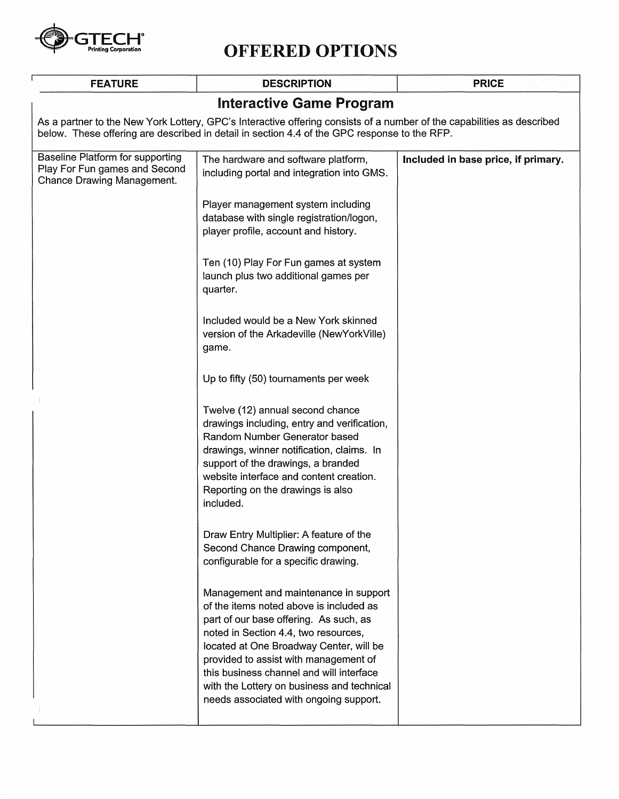![](_page_20_Picture_0.jpeg)

| <b>FEATURE</b>                                                                                                                                                                                                         | <b>DESCRIPTION</b>                                                                                                                                                                                                                                                                                                                                                                         | <b>PRICE</b>                        |
|------------------------------------------------------------------------------------------------------------------------------------------------------------------------------------------------------------------------|--------------------------------------------------------------------------------------------------------------------------------------------------------------------------------------------------------------------------------------------------------------------------------------------------------------------------------------------------------------------------------------------|-------------------------------------|
| <b>Interactive Game Program</b>                                                                                                                                                                                        |                                                                                                                                                                                                                                                                                                                                                                                            |                                     |
| As a partner to the New York Lottery, GPC's Interactive offering consists of a number of the capabilities as described<br>below. These offering are described in detail in section 4.4 of the GPC response to the RFP. |                                                                                                                                                                                                                                                                                                                                                                                            |                                     |
| Baseline Platform for supporting<br>Play For Fun games and Second<br>Chance Drawing Management.                                                                                                                        | The hardware and software platform,<br>including portal and integration into GMS.                                                                                                                                                                                                                                                                                                          | Included in base price, if primary. |
|                                                                                                                                                                                                                        | Player management system including<br>database with single registration/logon,<br>player profile, account and history.                                                                                                                                                                                                                                                                     |                                     |
|                                                                                                                                                                                                                        | Ten (10) Play For Fun games at system<br>launch plus two additional games per<br>quarter.                                                                                                                                                                                                                                                                                                  |                                     |
|                                                                                                                                                                                                                        | Included would be a New York skinned<br>version of the Arkadeville (NewYorkVille)<br>game.                                                                                                                                                                                                                                                                                                 |                                     |
|                                                                                                                                                                                                                        | Up to fifty (50) tournaments per week                                                                                                                                                                                                                                                                                                                                                      |                                     |
|                                                                                                                                                                                                                        | Twelve (12) annual second chance<br>drawings including, entry and verification,<br>Random Number Generator based<br>drawings, winner notification, claims. In<br>support of the drawings, a branded<br>website interface and content creation.<br>Reporting on the drawings is also<br>included.                                                                                           |                                     |
|                                                                                                                                                                                                                        | Draw Entry Multiplier: A feature of the<br>Second Chance Drawing component,<br>configurable for a specific drawing.                                                                                                                                                                                                                                                                        |                                     |
|                                                                                                                                                                                                                        | Management and maintenance in support<br>of the items noted above is included as<br>part of our base offering. As such, as<br>noted in Section 4.4, two resources,<br>located at One Broadway Center, will be<br>provided to assist with management of<br>this business channel and will interface<br>with the Lottery on business and technical<br>needs associated with ongoing support. |                                     |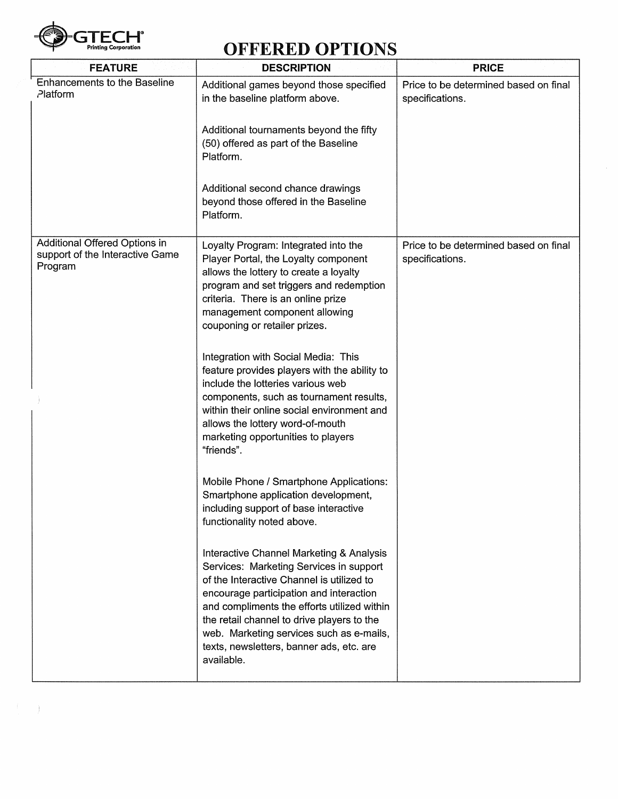![](_page_21_Picture_0.jpeg)

 $\mathcal{A}=\{1,\ldots,n\}$ 

# OFFERED OPTIONS

 $\bar{\gamma}$ 

| <b>FEATURE</b>                                                              | <b>DESCRIPTION</b>                                                                                                                                                                                                                                                                                                                                                             | <b>PRICE</b>                                             |
|-----------------------------------------------------------------------------|--------------------------------------------------------------------------------------------------------------------------------------------------------------------------------------------------------------------------------------------------------------------------------------------------------------------------------------------------------------------------------|----------------------------------------------------------|
| <b>Enhancements to the Baseline</b><br><b>Platform</b>                      | Additional games beyond those specified<br>in the baseline platform above.                                                                                                                                                                                                                                                                                                     | Price to be determined based on final<br>specifications. |
|                                                                             | Additional tournaments beyond the fifty<br>(50) offered as part of the Baseline<br>Platform.                                                                                                                                                                                                                                                                                   |                                                          |
|                                                                             | Additional second chance drawings<br>beyond those offered in the Baseline<br>Platform.                                                                                                                                                                                                                                                                                         |                                                          |
| Additional Offered Options in<br>support of the Interactive Game<br>Program | Loyalty Program: Integrated into the<br>Player Portal, the Loyalty component<br>allows the lottery to create a loyalty<br>program and set triggers and redemption<br>criteria. There is an online prize<br>management component allowing<br>couponing or retailer prizes.                                                                                                      | Price to be determined based on final<br>specifications. |
|                                                                             | Integration with Social Media: This<br>feature provides players with the ability to<br>include the lotteries various web<br>components, such as tournament results,<br>within their online social environment and<br>allows the lottery word-of-mouth<br>marketing opportunities to players<br>"friends".                                                                      |                                                          |
|                                                                             | Mobile Phone / Smartphone Applications:<br>Smartphone application development,<br>including support of base interactive<br>functionality noted above.                                                                                                                                                                                                                          |                                                          |
|                                                                             | Interactive Channel Marketing & Analysis<br>Services: Marketing Services in support<br>of the Interactive Channel is utilized to<br>encourage participation and interaction<br>and compliments the efforts utilized within<br>the retail channel to drive players to the<br>web. Marketing services such as e-mails,<br>texts, newsletters, banner ads, etc. are<br>available. |                                                          |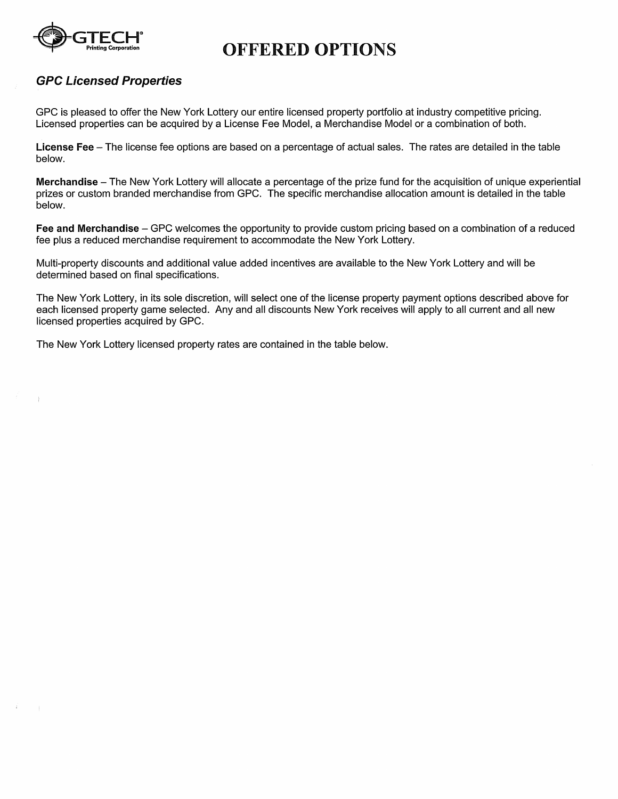![](_page_22_Picture_0.jpeg)

 $\bar{1}$ 

## OFFERED OPTIONS

### GPC Licensed Properties

GPC is pleased to offer the New York Lottery our entire licensed property portfolio at industry competitive pricing. Licensed properties can be acquired by a License Fee Model, a Merchandise Model or a combination of both.

License Fee - The license fee options are based on a percentage of actual sales. The rates are detailed in the table below.

Merchandise - The New York Lottery will allocate a percentage of the prize fund for the acquisition of unique experiential prizes or custom branded merchandise from GPC. The specific merchandise allocation amount is detailed in the table below.

Fee and Merchandise - GPC welcomes the opportunity to provide custom pricing based on a combination of a reduced fee plus a reduced merchandise requirement to accommodate the New York Lottery.

Multi-property discounts and additional value added incentives are available to the New York Lottery and will be determined based on final specifications.

The New York Lottery, in its sole discretion, will select one of the license property payment options described above for each licensed property game selected. Any and all discounts New York receives will apply to all current and all new licensed properties acquired by GPC.

The New York Lottery licensed property rates are contained in the table below.